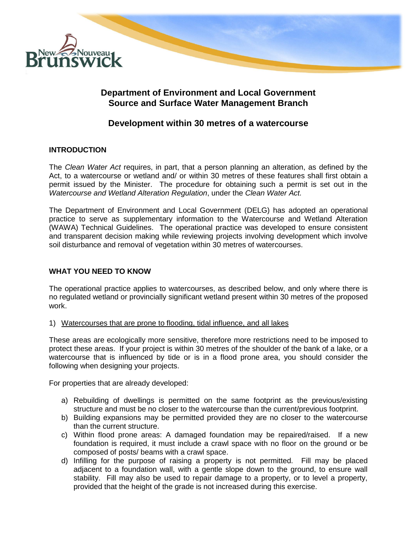

## **Department of Environment and Local Government Source and Surface Water Management Branch**

# **Development within 30 metres of a watercourse**

### **INTRODUCTION**

The *Clean Water Act* requires, in part, that a person planning an alteration, as defined by the Act, to a watercourse or wetland and/ or within 30 metres of these features shall first obtain a permit issued by the Minister. The procedure for obtaining such a permit is set out in the *Watercourse and Wetland Alteration Regulation*, under the *Clean Water Act.* 

The Department of Environment and Local Government (DELG) has adopted an operational practice to serve as supplementary information to the Watercourse and Wetland Alteration (WAWA) Technical Guidelines. The operational practice was developed to ensure consistent and transparent decision making while reviewing projects involving development which involve soil disturbance and removal of vegetation within 30 metres of watercourses.

### **WHAT YOU NEED TO KNOW**

The operational practice applies to watercourses, as described below, and only where there is no regulated wetland or provincially significant wetland present within 30 metres of the proposed work.

1) Watercourses that are prone to flooding, tidal influence, and all lakes

These areas are ecologically more sensitive, therefore more restrictions need to be imposed to protect these areas. If your project is within 30 metres of the shoulder of the bank of a lake, or a watercourse that is influenced by tide or is in a flood prone area, you should consider the following when designing your projects.

For properties that are already developed:

- a) Rebuilding of dwellings is permitted on the same footprint as the previous/existing structure and must be no closer to the watercourse than the current/previous footprint.
- b) Building expansions may be permitted provided they are no closer to the watercourse than the current structure.
- c) Within flood prone areas: A damaged foundation may be repaired/raised. If a new foundation is required, it must include a crawl space with no floor on the ground or be composed of posts/ beams with a crawl space.
- d) Infilling for the purpose of raising a property is not permitted. Fill may be placed adjacent to a foundation wall, with a gentle slope down to the ground, to ensure wall stability. Fill may also be used to repair damage to a property, or to level a property, provided that the height of the grade is not increased during this exercise.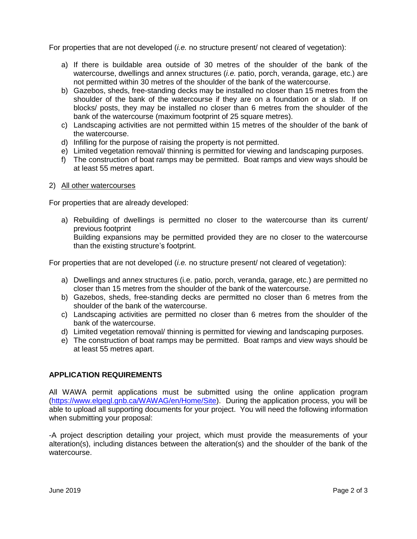For properties that are not developed (*i.e.* no structure present/ not cleared of vegetation):

- a) If there is buildable area outside of 30 metres of the shoulder of the bank of the watercourse, dwellings and annex structures (*i.e.* patio, porch, veranda, garage, etc.) are not permitted within 30 metres of the shoulder of the bank of the watercourse.
- b) Gazebos, sheds, free-standing decks may be installed no closer than 15 metres from the shoulder of the bank of the watercourse if they are on a foundation or a slab. If on blocks/ posts, they may be installed no closer than 6 metres from the shoulder of the bank of the watercourse (maximum footprint of 25 square metres).
- c) Landscaping activities are not permitted within 15 metres of the shoulder of the bank of the watercourse.
- d) Infilling for the purpose of raising the property is not permitted.
- e) Limited vegetation removal/ thinning is permitted for viewing and landscaping purposes.
- f) The construction of boat ramps may be permitted. Boat ramps and view ways should be at least 55 metres apart.
- 2) All other watercourses

For properties that are already developed:

a) Rebuilding of dwellings is permitted no closer to the watercourse than its current/ previous footprint

Building expansions may be permitted provided they are no closer to the watercourse than the existing structure's footprint.

For properties that are not developed (*i.e.* no structure present/ not cleared of vegetation):

- a) Dwellings and annex structures (i.e. patio, porch, veranda, garage, etc.) are permitted no closer than 15 metres from the shoulder of the bank of the watercourse.
- b) Gazebos, sheds, free-standing decks are permitted no closer than 6 metres from the shoulder of the bank of the watercourse.
- c) Landscaping activities are permitted no closer than 6 metres from the shoulder of the bank of the watercourse.
- d) Limited vegetation removal/ thinning is permitted for viewing and landscaping purposes.
- e) The construction of boat ramps may be permitted. Boat ramps and view ways should be at least 55 metres apart.

### **APPLICATION REQUIREMENTS**

All WAWA permit applications must be submitted using the online application program [\(https://www.elgegl.gnb.ca/WAWAG/en/Home/Site\)](https://www.elgegl.gnb.ca/WAWAG/en/Home/Site). During the application process, you will be able to upload all supporting documents for your project. You will need the following information when submitting your proposal:

-A project description detailing your project, which must provide the measurements of your alteration(s), including distances between the alteration(s) and the shoulder of the bank of the watercourse.